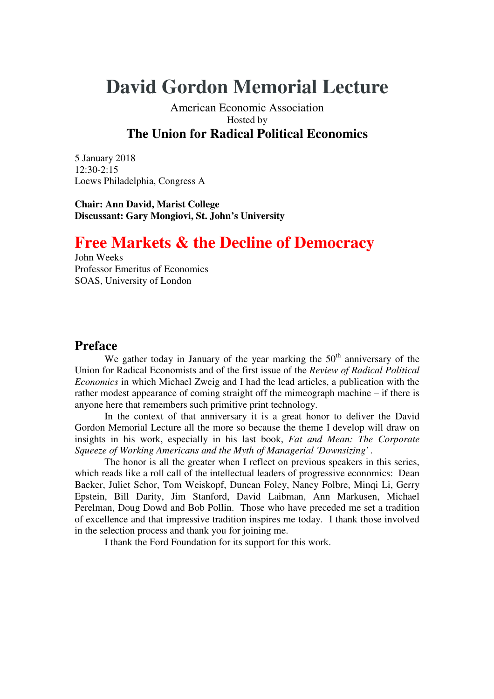# **David Gordon Memorial Lecture**

## American Economic Association Hosted by **The Union for Radical Political Economics**

5 January 2018  $12:30-2:15$ Loews Philadelphia, Congress A

**Chair: Ann David, Marist College Discussant: Gary Mongiovi, St. John's University** 

## **Free Markets & the Decline of Democracy**

John Weeks Professor Emeritus of Economics SOAS, University of London

## **Preface**

We gather today in January of the year marking the  $50<sup>th</sup>$  anniversary of the Union for Radical Economists and of the first issue of the *Review of Radical Political Economics* in which Michael Zweig and I had the lead articles, a publication with the rather modest appearance of coming straight off the mimeograph machine – if there is anyone here that remembers such primitive print technology.

 In the context of that anniversary it is a great honor to deliver the David Gordon Memorial Lecture all the more so because the theme I develop will draw on insights in his work, especially in his last book, *Fat and Mean: The Corporate Squeeze of Working Americans and the Myth of Managerial 'Downsizing'* .

 The honor is all the greater when I reflect on previous speakers in this series, which reads like a roll call of the intellectual leaders of progressive economics: Dean Backer, Juliet Schor, Tom Weiskopf, Duncan Foley, Nancy Folbre, Minqi Li, Gerry Epstein, Bill Darity, Jim Stanford, David Laibman, Ann Markusen, Michael Perelman, Doug Dowd and Bob Pollin. Those who have preceded me set a tradition of excellence and that impressive tradition inspires me today. I thank those involved in the selection process and thank you for joining me.

I thank the Ford Foundation for its support for this work.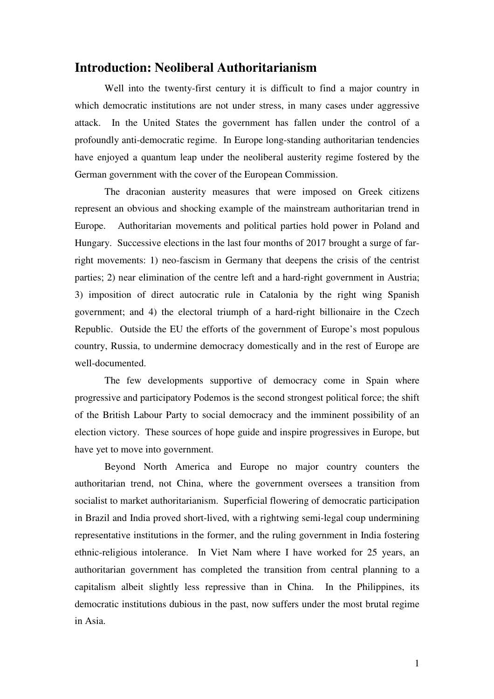## **Introduction: Neoliberal Authoritarianism**

 Well into the twenty-first century it is difficult to find a major country in which democratic institutions are not under stress, in many cases under aggressive attack. In the United States the government has fallen under the control of a profoundly anti-democratic regime. In Europe long-standing authoritarian tendencies have enjoyed a quantum leap under the neoliberal austerity regime fostered by the German government with the cover of the European Commission.

 The draconian austerity measures that were imposed on Greek citizens represent an obvious and shocking example of the mainstream authoritarian trend in Europe. Authoritarian movements and political parties hold power in Poland and Hungary. Successive elections in the last four months of 2017 brought a surge of farright movements: 1) neo-fascism in Germany that deepens the crisis of the centrist parties; 2) near elimination of the centre left and a hard-right government in Austria; 3) imposition of direct autocratic rule in Catalonia by the right wing Spanish government; and 4) the electoral triumph of a hard-right billionaire in the Czech Republic. Outside the EU the efforts of the government of Europe's most populous country, Russia, to undermine democracy domestically and in the rest of Europe are well-documented.

 The few developments supportive of democracy come in Spain where progressive and participatory Podemos is the second strongest political force; the shift of the British Labour Party to social democracy and the imminent possibility of an election victory. These sources of hope guide and inspire progressives in Europe, but have yet to move into government.

 Beyond North America and Europe no major country counters the authoritarian trend, not China, where the government oversees a transition from socialist to market authoritarianism. Superficial flowering of democratic participation in Brazil and India proved short-lived, with a rightwing semi-legal coup undermining representative institutions in the former, and the ruling government in India fostering ethnic-religious intolerance. In Viet Nam where I have worked for 25 years, an authoritarian government has completed the transition from central planning to a capitalism albeit slightly less repressive than in China. In the Philippines, its democratic institutions dubious in the past, now suffers under the most brutal regime in Asia.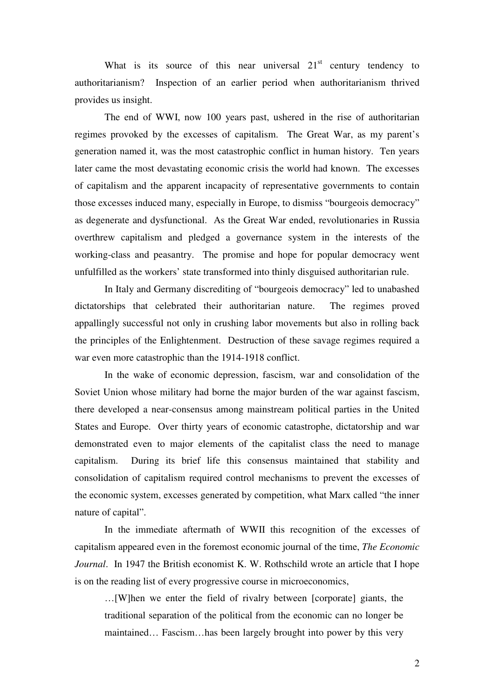What is its source of this near universal  $21<sup>st</sup>$  century tendency to authoritarianism? Inspection of an earlier period when authoritarianism thrived provides us insight.

 The end of WWI, now 100 years past, ushered in the rise of authoritarian regimes provoked by the excesses of capitalism. The Great War, as my parent's generation named it, was the most catastrophic conflict in human history. Ten years later came the most devastating economic crisis the world had known. The excesses of capitalism and the apparent incapacity of representative governments to contain those excesses induced many, especially in Europe, to dismiss "bourgeois democracy" as degenerate and dysfunctional. As the Great War ended, revolutionaries in Russia overthrew capitalism and pledged a governance system in the interests of the working-class and peasantry. The promise and hope for popular democracy went unfulfilled as the workers' state transformed into thinly disguised authoritarian rule.

 In Italy and Germany discrediting of "bourgeois democracy" led to unabashed dictatorships that celebrated their authoritarian nature. The regimes proved appallingly successful not only in crushing labor movements but also in rolling back the principles of the Enlightenment. Destruction of these savage regimes required a war even more catastrophic than the 1914-1918 conflict.

 In the wake of economic depression, fascism, war and consolidation of the Soviet Union whose military had borne the major burden of the war against fascism, there developed a near-consensus among mainstream political parties in the United States and Europe. Over thirty years of economic catastrophe, dictatorship and war demonstrated even to major elements of the capitalist class the need to manage capitalism. During its brief life this consensus maintained that stability and consolidation of capitalism required control mechanisms to prevent the excesses of the economic system, excesses generated by competition, what Marx called "the inner nature of capital".

 In the immediate aftermath of WWII this recognition of the excesses of capitalism appeared even in the foremost economic journal of the time, *The Economic Journal*. In 1947 the British economist K. W. Rothschild wrote an article that I hope is on the reading list of every progressive course in microeconomics,

…[W]hen we enter the field of rivalry between [corporate] giants, the traditional separation of the political from the economic can no longer be maintained… Fascism…has been largely brought into power by this very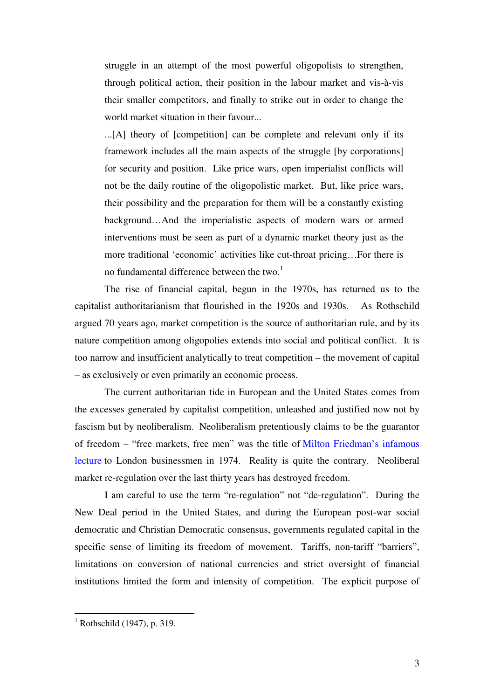struggle in an attempt of the most powerful oligopolists to strengthen, through political action, their position in the labour market and vis-à-vis their smaller competitors, and finally to strike out in order to change the world market situation in their favour...

...[A] theory of [competition] can be complete and relevant only if its framework includes all the main aspects of the struggle [by corporations] for security and position. Like price wars, open imperialist conflicts will not be the daily routine of the oligopolistic market. But, like price wars, their possibility and the preparation for them will be a constantly existing background…And the imperialistic aspects of modern wars or armed interventions must be seen as part of a dynamic market theory just as the more traditional 'economic' activities like cut-throat pricing…For there is no fundamental difference between the two.<sup>1</sup>

 The rise of financial capital, begun in the 1970s, has returned us to the capitalist authoritarianism that flourished in the 1920s and 1930s. As Rothschild argued 70 years ago, market competition is the source of authoritarian rule, and by its nature competition among oligopolies extends into social and political conflict. It is too narrow and insufficient analytically to treat competition – the movement of capital – as exclusively or even primarily an economic process.

 The current authoritarian tide in European and the United States comes from the excesses generated by capitalist competition, unleashed and justified now not by fascism but by neoliberalism. Neoliberalism pretentiously claims to be the guarantor of freedom – "free markets, free men" was the title of Milton Friedman's infamous lecture to London businessmen in 1974. Reality is quite the contrary. Neoliberal market re-regulation over the last thirty years has destroyed freedom.

 I am careful to use the term "re-regulation" not "de-regulation". During the New Deal period in the United States, and during the European post-war social democratic and Christian Democratic consensus, governments regulated capital in the specific sense of limiting its freedom of movement. Tariffs, non-tariff "barriers", limitations on conversion of national currencies and strict oversight of financial institutions limited the form and intensity of competition. The explicit purpose of

 $\overline{a}$ 

 $<sup>1</sup>$  Rothschild (1947), p. 319.</sup>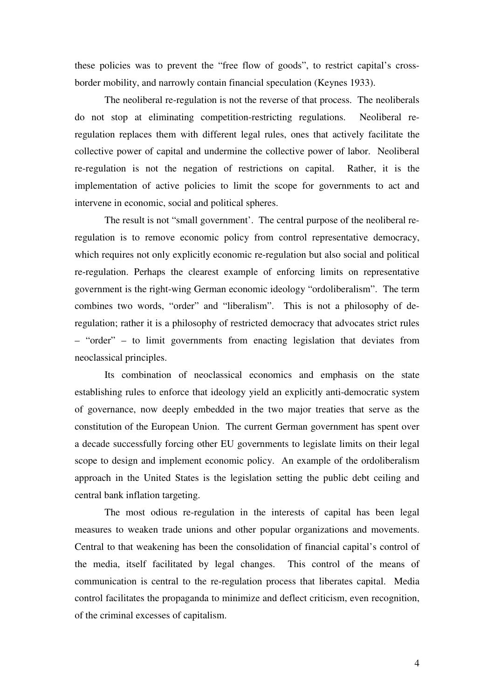these policies was to prevent the "free flow of goods", to restrict capital's crossborder mobility, and narrowly contain financial speculation (Keynes 1933).

 The neoliberal re-regulation is not the reverse of that process. The neoliberals do not stop at eliminating competition-restricting regulations. Neoliberal reregulation replaces them with different legal rules, ones that actively facilitate the collective power of capital and undermine the collective power of labor. Neoliberal re-regulation is not the negation of restrictions on capital. Rather, it is the implementation of active policies to limit the scope for governments to act and intervene in economic, social and political spheres.

 The result is not "small government'. The central purpose of the neoliberal reregulation is to remove economic policy from control representative democracy, which requires not only explicitly economic re-regulation but also social and political re-regulation. Perhaps the clearest example of enforcing limits on representative government is the right-wing German economic ideology "ordoliberalism". The term combines two words, "order" and "liberalism". This is not a philosophy of deregulation; rather it is a philosophy of restricted democracy that advocates strict rules – "order" – to limit governments from enacting legislation that deviates from neoclassical principles.

 Its combination of neoclassical economics and emphasis on the state establishing rules to enforce that ideology yield an explicitly anti-democratic system of governance, now deeply embedded in the two major treaties that serve as the constitution of the European Union. The current German government has spent over a decade successfully forcing other EU governments to legislate limits on their legal scope to design and implement economic policy. An example of the ordoliberalism approach in the United States is the legislation setting the public debt ceiling and central bank inflation targeting.

 The most odious re-regulation in the interests of capital has been legal measures to weaken trade unions and other popular organizations and movements. Central to that weakening has been the consolidation of financial capital's control of the media, itself facilitated by legal changes. This control of the means of communication is central to the re-regulation process that liberates capital. Media control facilitates the propaganda to minimize and deflect criticism, even recognition, of the criminal excesses of capitalism.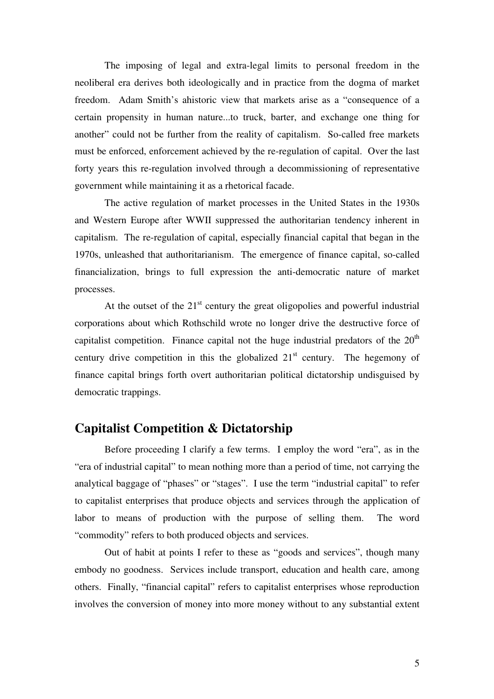The imposing of legal and extra-legal limits to personal freedom in the neoliberal era derives both ideologically and in practice from the dogma of market freedom. Adam Smith's ahistoric view that markets arise as a "consequence of a certain propensity in human nature...to truck, barter, and exchange one thing for another" could not be further from the reality of capitalism. So-called free markets must be enforced, enforcement achieved by the re-regulation of capital. Over the last forty years this re-regulation involved through a decommissioning of representative government while maintaining it as a rhetorical facade.

 The active regulation of market processes in the United States in the 1930s and Western Europe after WWII suppressed the authoritarian tendency inherent in capitalism. The re-regulation of capital, especially financial capital that began in the 1970s, unleashed that authoritarianism. The emergence of finance capital, so-called financialization, brings to full expression the anti-democratic nature of market processes.

At the outset of the  $21<sup>st</sup>$  century the great oligopolies and powerful industrial corporations about which Rothschild wrote no longer drive the destructive force of capitalist competition. Finance capital not the huge industrial predators of the  $20<sup>th</sup>$ century drive competition in this the globalized  $21<sup>st</sup>$  century. The hegemony of finance capital brings forth overt authoritarian political dictatorship undisguised by democratic trappings.

## **Capitalist Competition & Dictatorship**

 Before proceeding I clarify a few terms. I employ the word "era", as in the "era of industrial capital" to mean nothing more than a period of time, not carrying the analytical baggage of "phases" or "stages". I use the term "industrial capital" to refer to capitalist enterprises that produce objects and services through the application of labor to means of production with the purpose of selling them. The word "commodity" refers to both produced objects and services.

 Out of habit at points I refer to these as "goods and services", though many embody no goodness. Services include transport, education and health care, among others. Finally, "financial capital" refers to capitalist enterprises whose reproduction involves the conversion of money into more money without to any substantial extent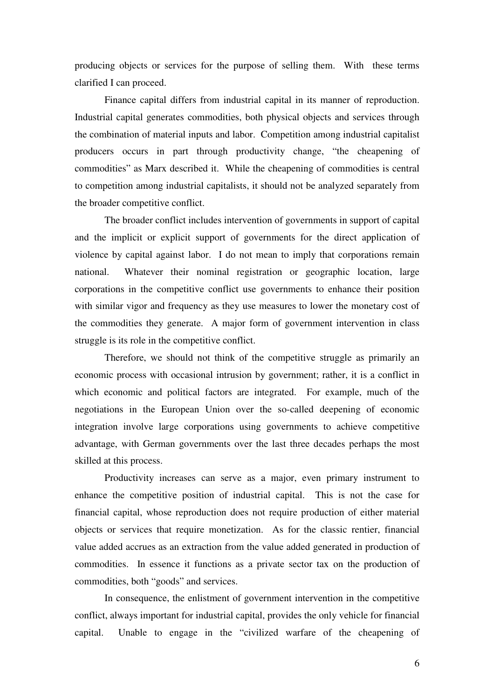producing objects or services for the purpose of selling them. With these terms clarified I can proceed.

 Finance capital differs from industrial capital in its manner of reproduction. Industrial capital generates commodities, both physical objects and services through the combination of material inputs and labor. Competition among industrial capitalist producers occurs in part through productivity change, "the cheapening of commodities" as Marx described it. While the cheapening of commodities is central to competition among industrial capitalists, it should not be analyzed separately from the broader competitive conflict.

 The broader conflict includes intervention of governments in support of capital and the implicit or explicit support of governments for the direct application of violence by capital against labor. I do not mean to imply that corporations remain national. Whatever their nominal registration or geographic location, large corporations in the competitive conflict use governments to enhance their position with similar vigor and frequency as they use measures to lower the monetary cost of the commodities they generate. A major form of government intervention in class struggle is its role in the competitive conflict.

 Therefore, we should not think of the competitive struggle as primarily an economic process with occasional intrusion by government; rather, it is a conflict in which economic and political factors are integrated. For example, much of the negotiations in the European Union over the so-called deepening of economic integration involve large corporations using governments to achieve competitive advantage, with German governments over the last three decades perhaps the most skilled at this process.

 Productivity increases can serve as a major, even primary instrument to enhance the competitive position of industrial capital. This is not the case for financial capital, whose reproduction does not require production of either material objects or services that require monetization. As for the classic rentier, financial value added accrues as an extraction from the value added generated in production of commodities. In essence it functions as a private sector tax on the production of commodities, both "goods" and services.

 In consequence, the enlistment of government intervention in the competitive conflict, always important for industrial capital, provides the only vehicle for financial capital. Unable to engage in the "civilized warfare of the cheapening of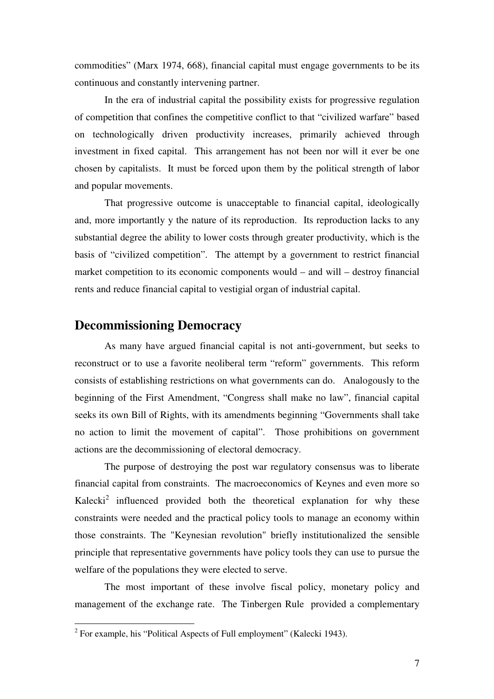commodities" (Marx 1974, 668), financial capital must engage governments to be its continuous and constantly intervening partner.

 In the era of industrial capital the possibility exists for progressive regulation of competition that confines the competitive conflict to that "civilized warfare" based on technologically driven productivity increases, primarily achieved through investment in fixed capital. This arrangement has not been nor will it ever be one chosen by capitalists. It must be forced upon them by the political strength of labor and popular movements.

 That progressive outcome is unacceptable to financial capital, ideologically and, more importantly y the nature of its reproduction. Its reproduction lacks to any substantial degree the ability to lower costs through greater productivity, which is the basis of "civilized competition". The attempt by a government to restrict financial market competition to its economic components would – and will – destroy financial rents and reduce financial capital to vestigial organ of industrial capital.

## **Decommissioning Democracy**

 As many have argued financial capital is not anti-government, but seeks to reconstruct or to use a favorite neoliberal term "reform" governments. This reform consists of establishing restrictions on what governments can do. Analogously to the beginning of the First Amendment, "Congress shall make no law", financial capital seeks its own Bill of Rights, with its amendments beginning "Governments shall take no action to limit the movement of capital". Those prohibitions on government actions are the decommissioning of electoral democracy.

 The purpose of destroying the post war regulatory consensus was to liberate financial capital from constraints. The macroeconomics of Keynes and even more so Kalecki<sup>2</sup> influenced provided both the theoretical explanation for why these constraints were needed and the practical policy tools to manage an economy within those constraints. The "Keynesian revolution" briefly institutionalized the sensible principle that representative governments have policy tools they can use to pursue the welfare of the populations they were elected to serve.

 The most important of these involve fiscal policy, monetary policy and management of the exchange rate. The Tinbergen Rule provided a complementary

<sup>&</sup>lt;sup>2</sup> For example, his "Political Aspects of Full employment" (Kalecki 1943).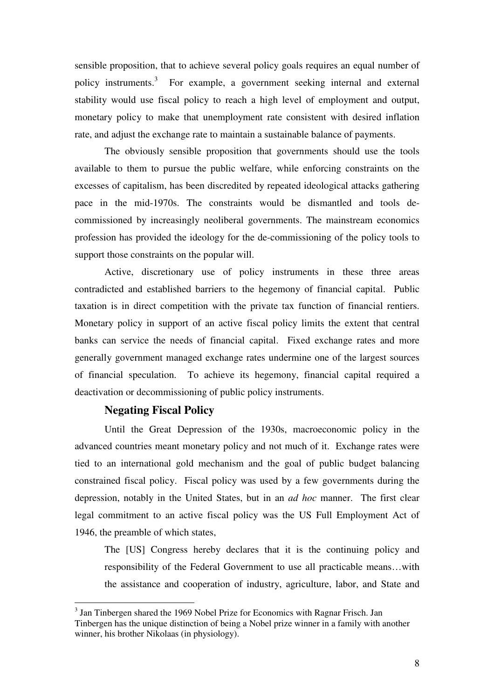sensible proposition, that to achieve several policy goals requires an equal number of policy instruments.<sup>3</sup> For example, a government seeking internal and external stability would use fiscal policy to reach a high level of employment and output, monetary policy to make that unemployment rate consistent with desired inflation rate, and adjust the exchange rate to maintain a sustainable balance of payments.

 The obviously sensible proposition that governments should use the tools available to them to pursue the public welfare, while enforcing constraints on the excesses of capitalism, has been discredited by repeated ideological attacks gathering pace in the mid-1970s. The constraints would be dismantled and tools decommissioned by increasingly neoliberal governments. The mainstream economics profession has provided the ideology for the de-commissioning of the policy tools to support those constraints on the popular will.

 Active, discretionary use of policy instruments in these three areas contradicted and established barriers to the hegemony of financial capital. Public taxation is in direct competition with the private tax function of financial rentiers. Monetary policy in support of an active fiscal policy limits the extent that central banks can service the needs of financial capital. Fixed exchange rates and more generally government managed exchange rates undermine one of the largest sources of financial speculation. To achieve its hegemony, financial capital required a deactivation or decommissioning of public policy instruments.

#### **Negating Fiscal Policy**

 $\overline{a}$ 

 Until the Great Depression of the 1930s, macroeconomic policy in the advanced countries meant monetary policy and not much of it. Exchange rates were tied to an international gold mechanism and the goal of public budget balancing constrained fiscal policy. Fiscal policy was used by a few governments during the depression, notably in the United States, but in an *ad hoc* manner. The first clear legal commitment to an active fiscal policy was the US Full Employment Act of 1946, the preamble of which states,

The [US] Congress hereby declares that it is the continuing policy and responsibility of the Federal Government to use all practicable means…with the assistance and cooperation of industry, agriculture, labor, and State and

<sup>&</sup>lt;sup>3</sup> Jan Tinbergen shared the 1969 Nobel Prize for Economics with Ragnar Frisch. Jan Tinbergen has the unique distinction of being a Nobel prize winner in a family with another winner, his brother Nikolaas (in physiology).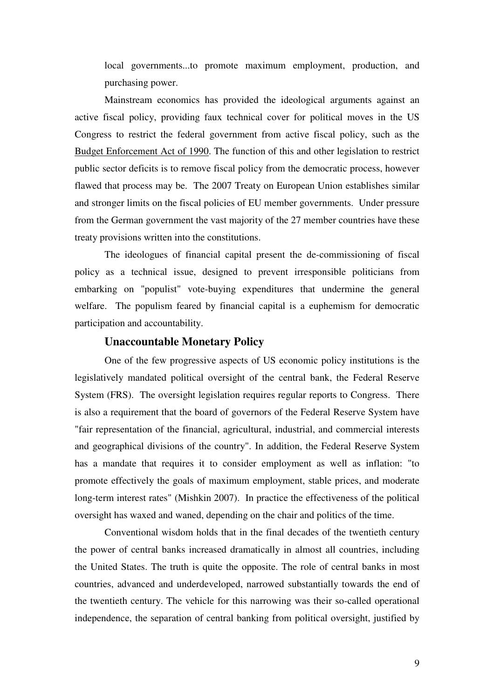local governments...to promote maximum employment, production, and purchasing power.

 Mainstream economics has provided the ideological arguments against an active fiscal policy, providing faux technical cover for political moves in the US Congress to restrict the federal government from active fiscal policy, such as the Budget Enforcement Act of 1990. The function of this and other legislation to restrict public sector deficits is to remove fiscal policy from the democratic process, however flawed that process may be. The 2007 Treaty on European Union establishes similar and stronger limits on the fiscal policies of EU member governments. Under pressure from the German government the vast majority of the 27 member countries have these treaty provisions written into the constitutions.

 The ideologues of financial capital present the de-commissioning of fiscal policy as a technical issue, designed to prevent irresponsible politicians from embarking on "populist" vote-buying expenditures that undermine the general welfare. The populism feared by financial capital is a euphemism for democratic participation and accountability.

#### **Unaccountable Monetary Policy**

 One of the few progressive aspects of US economic policy institutions is the legislatively mandated political oversight of the central bank, the Federal Reserve System (FRS). The oversight legislation requires regular reports to Congress. There is also a requirement that the board of governors of the Federal Reserve System have "fair representation of the financial, agricultural, industrial, and commercial interests and geographical divisions of the country". In addition, the Federal Reserve System has a mandate that requires it to consider employment as well as inflation: "to promote effectively the goals of maximum employment, stable prices, and moderate long-term interest rates" (Mishkin 2007). In practice the effectiveness of the political oversight has waxed and waned, depending on the chair and politics of the time.

 Conventional wisdom holds that in the final decades of the twentieth century the power of central banks increased dramatically in almost all countries, including the United States. The truth is quite the opposite. The role of central banks in most countries, advanced and underdeveloped, narrowed substantially towards the end of the twentieth century. The vehicle for this narrowing was their so-called operational independence, the separation of central banking from political oversight, justified by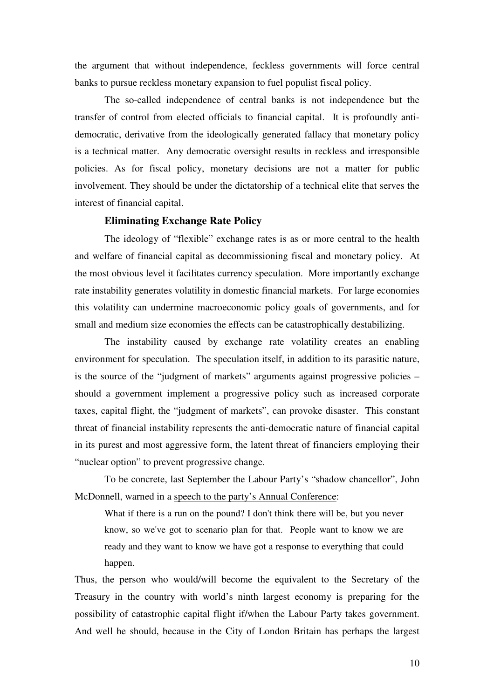the argument that without independence, feckless governments will force central banks to pursue reckless monetary expansion to fuel populist fiscal policy.

 The so-called independence of central banks is not independence but the transfer of control from elected officials to financial capital. It is profoundly antidemocratic, derivative from the ideologically generated fallacy that monetary policy is a technical matter. Any democratic oversight results in reckless and irresponsible policies. As for fiscal policy, monetary decisions are not a matter for public involvement. They should be under the dictatorship of a technical elite that serves the interest of financial capital.

#### **Eliminating Exchange Rate Policy**

 The ideology of "flexible" exchange rates is as or more central to the health and welfare of financial capital as decommissioning fiscal and monetary policy. At the most obvious level it facilitates currency speculation. More importantly exchange rate instability generates volatility in domestic financial markets. For large economies this volatility can undermine macroeconomic policy goals of governments, and for small and medium size economies the effects can be catastrophically destabilizing.

 The instability caused by exchange rate volatility creates an enabling environment for speculation. The speculation itself, in addition to its parasitic nature, is the source of the "judgment of markets" arguments against progressive policies – should a government implement a progressive policy such as increased corporate taxes, capital flight, the "judgment of markets", can provoke disaster. This constant threat of financial instability represents the anti-democratic nature of financial capital in its purest and most aggressive form, the latent threat of financiers employing their "nuclear option" to prevent progressive change.

 To be concrete, last September the Labour Party's "shadow chancellor", John McDonnell, warned in a speech to the party's Annual Conference:

What if there is a run on the pound? I don't think there will be, but you never know, so we've got to scenario plan for that. People want to know we are ready and they want to know we have got a response to everything that could happen.

Thus, the person who would/will become the equivalent to the Secretary of the Treasury in the country with world's ninth largest economy is preparing for the possibility of catastrophic capital flight if/when the Labour Party takes government. And well he should, because in the City of London Britain has perhaps the largest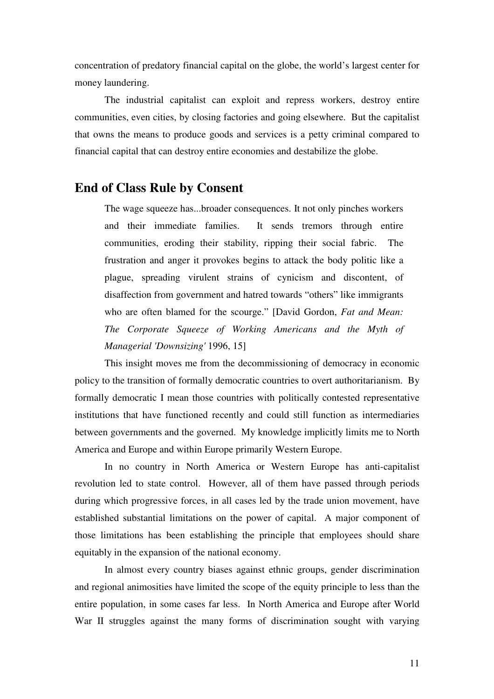concentration of predatory financial capital on the globe, the world's largest center for money laundering.

 The industrial capitalist can exploit and repress workers, destroy entire communities, even cities, by closing factories and going elsewhere. But the capitalist that owns the means to produce goods and services is a petty criminal compared to financial capital that can destroy entire economies and destabilize the globe.

## **End of Class Rule by Consent**

The wage squeeze has...broader consequences. It not only pinches workers and their immediate families. It sends tremors through entire communities, eroding their stability, ripping their social fabric. The frustration and anger it provokes begins to attack the body politic like a plague, spreading virulent strains of cynicism and discontent, of disaffection from government and hatred towards "others" like immigrants who are often blamed for the scourge." [David Gordon, *Fat and Mean: The Corporate Squeeze of Working Americans and the Myth of Managerial 'Downsizing'* 1996, 15]

 This insight moves me from the decommissioning of democracy in economic policy to the transition of formally democratic countries to overt authoritarianism. By formally democratic I mean those countries with politically contested representative institutions that have functioned recently and could still function as intermediaries between governments and the governed. My knowledge implicitly limits me to North America and Europe and within Europe primarily Western Europe.

 In no country in North America or Western Europe has anti-capitalist revolution led to state control. However, all of them have passed through periods during which progressive forces, in all cases led by the trade union movement, have established substantial limitations on the power of capital. A major component of those limitations has been establishing the principle that employees should share equitably in the expansion of the national economy.

 In almost every country biases against ethnic groups, gender discrimination and regional animosities have limited the scope of the equity principle to less than the entire population, in some cases far less. In North America and Europe after World War II struggles against the many forms of discrimination sought with varying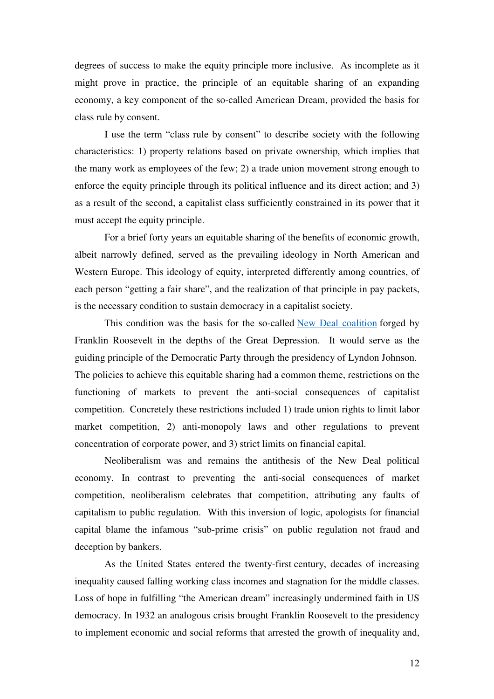degrees of success to make the equity principle more inclusive. As incomplete as it might prove in practice, the principle of an equitable sharing of an expanding economy, a key component of the so-called American Dream, provided the basis for class rule by consent.

 I use the term "class rule by consent" to describe society with the following characteristics: 1) property relations based on private ownership, which implies that the many work as employees of the few; 2) a trade union movement strong enough to enforce the equity principle through its political influence and its direct action; and 3) as a result of the second, a capitalist class sufficiently constrained in its power that it must accept the equity principle.

 For a brief forty years an equitable sharing of the benefits of economic growth, albeit narrowly defined, served as the prevailing ideology in North American and Western Europe. This ideology of equity, interpreted differently among countries, of each person "getting a fair share", and the realization of that principle in pay packets, is the necessary condition to sustain democracy in a capitalist society.

 This condition was the basis for the so-called New Deal coalition forged by Franklin Roosevelt in the depths of the Great Depression. It would serve as the guiding principle of the Democratic Party through the presidency of Lyndon Johnson. The policies to achieve this equitable sharing had a common theme, restrictions on the functioning of markets to prevent the anti-social consequences of capitalist competition. Concretely these restrictions included 1) trade union rights to limit labor market competition, 2) anti-monopoly laws and other regulations to prevent concentration of corporate power, and 3) strict limits on financial capital.

 Neoliberalism was and remains the antithesis of the New Deal political economy. In contrast to preventing the anti-social consequences of market competition, neoliberalism celebrates that competition, attributing any faults of capitalism to public regulation. With this inversion of logic, apologists for financial capital blame the infamous "sub-prime crisis" on public regulation not fraud and deception by bankers.

 As the United States entered the twenty-first century, decades of increasing inequality caused falling working class incomes and stagnation for the middle classes. Loss of hope in fulfilling "the American dream" increasingly undermined faith in US democracy. In 1932 an analogous crisis brought Franklin Roosevelt to the presidency to implement economic and social reforms that arrested the growth of inequality and,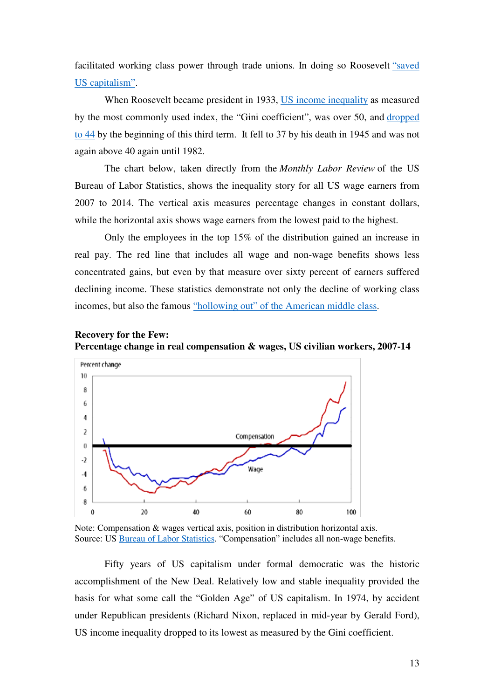facilitated working class power through trade unions. In doing so Roosevelt "saved US capitalism".

When Roosevelt became president in 1933, US income inequality as measured by the most commonly used index, the "Gini coefficient", was over 50, and dropped to 44 by the beginning of this third term. It fell to 37 by his death in 1945 and was not again above 40 again until 1982.

 The chart below, taken directly from the *Monthly Labor Review* of the US Bureau of Labor Statistics, shows the inequality story for all US wage earners from 2007 to 2014. The vertical axis measures percentage changes in constant dollars, while the horizontal axis shows wage earners from the lowest paid to the highest.

 Only the employees in the top 15% of the distribution gained an increase in real pay. The red line that includes all wage and non-wage benefits shows less concentrated gains, but even by that measure over sixty percent of earners suffered declining income. These statistics demonstrate not only the decline of working class incomes, but also the famous "hollowing out" of the American middle class.





Note: Compensation & wages vertical axis, position in distribution horizontal axis. Source: US Bureau of Labor Statistics. "Compensation" includes all non-wage benefits.

 Fifty years of US capitalism under formal democratic was the historic accomplishment of the New Deal. Relatively low and stable inequality provided the basis for what some call the "Golden Age" of US capitalism. In 1974, by accident under Republican presidents (Richard Nixon, replaced in mid-year by Gerald Ford), US income inequality dropped to its lowest as measured by the Gini coefficient.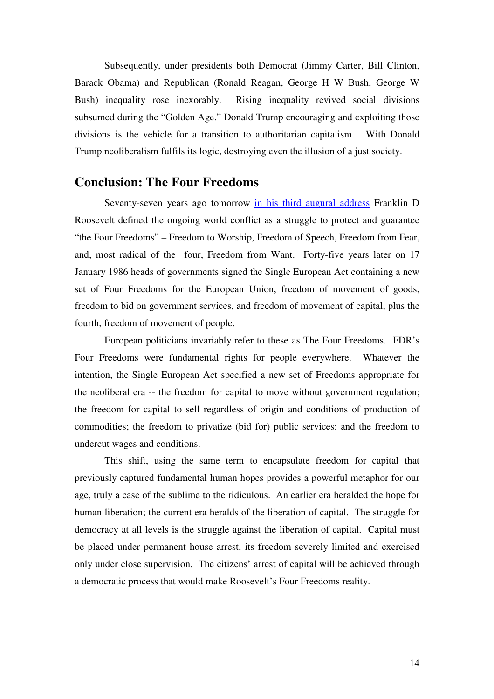Subsequently, under presidents both Democrat (Jimmy Carter, Bill Clinton, Barack Obama) and Republican (Ronald Reagan, George H W Bush, George W Bush) inequality rose inexorably. Rising inequality revived social divisions subsumed during the "Golden Age." Donald Trump encouraging and exploiting those divisions is the vehicle for a transition to authoritarian capitalism. With Donald Trump neoliberalism fulfils its logic, destroying even the illusion of a just society.

## **Conclusion: The Four Freedoms**

Seventy-seven years ago tomorrow in his third augural address Franklin D Roosevelt defined the ongoing world conflict as a struggle to protect and guarantee "the Four Freedoms" – Freedom to Worship, Freedom of Speech, Freedom from Fear, and, most radical of the four, Freedom from Want. Forty-five years later on 17 January 1986 heads of governments signed the Single European Act containing a new set of Four Freedoms for the European Union, freedom of movement of goods, freedom to bid on government services, and freedom of movement of capital, plus the fourth, freedom of movement of people.

 European politicians invariably refer to these as The Four Freedoms. FDR's Four Freedoms were fundamental rights for people everywhere. Whatever the intention, the Single European Act specified a new set of Freedoms appropriate for the neoliberal era -- the freedom for capital to move without government regulation; the freedom for capital to sell regardless of origin and conditions of production of commodities; the freedom to privatize (bid for) public services; and the freedom to undercut wages and conditions.

 This shift, using the same term to encapsulate freedom for capital that previously captured fundamental human hopes provides a powerful metaphor for our age, truly a case of the sublime to the ridiculous. An earlier era heralded the hope for human liberation; the current era heralds of the liberation of capital. The struggle for democracy at all levels is the struggle against the liberation of capital. Capital must be placed under permanent house arrest, its freedom severely limited and exercised only under close supervision. The citizens' arrest of capital will be achieved through a democratic process that would make Roosevelt's Four Freedoms reality.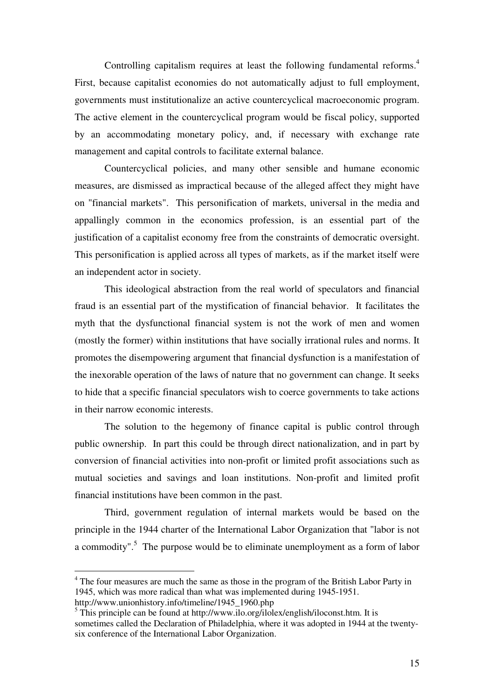Controlling capitalism requires at least the following fundamental reforms.<sup>4</sup> First, because capitalist economies do not automatically adjust to full employment, governments must institutionalize an active countercyclical macroeconomic program. The active element in the countercyclical program would be fiscal policy, supported by an accommodating monetary policy, and, if necessary with exchange rate management and capital controls to facilitate external balance.

 Countercyclical policies, and many other sensible and humane economic measures, are dismissed as impractical because of the alleged affect they might have on "financial markets". This personification of markets, universal in the media and appallingly common in the economics profession, is an essential part of the justification of a capitalist economy free from the constraints of democratic oversight. This personification is applied across all types of markets, as if the market itself were an independent actor in society.

 This ideological abstraction from the real world of speculators and financial fraud is an essential part of the mystification of financial behavior. It facilitates the myth that the dysfunctional financial system is not the work of men and women (mostly the former) within institutions that have socially irrational rules and norms. It promotes the disempowering argument that financial dysfunction is a manifestation of the inexorable operation of the laws of nature that no government can change. It seeks to hide that a specific financial speculators wish to coerce governments to take actions in their narrow economic interests.

 The solution to the hegemony of finance capital is public control through public ownership. In part this could be through direct nationalization, and in part by conversion of financial activities into non-profit or limited profit associations such as mutual societies and savings and loan institutions. Non-profit and limited profit financial institutions have been common in the past.

 Third, government regulation of internal markets would be based on the principle in the 1944 charter of the International Labor Organization that "labor is not a commodity".<sup>5</sup> The purpose would be to eliminate unemployment as a form of labor

 $\overline{a}$ 

<sup>&</sup>lt;sup>4</sup> The four measures are much the same as those in the program of the British Labor Party in 1945, which was more radical than what was implemented during 1945-1951.

http://www.unionhistory.info/timeline/1945\_1960.php

<sup>&</sup>lt;sup>5</sup> This principle can be found at http://www.ilo.org/ilolex/english/iloconst.htm. It is sometimes called the Declaration of Philadelphia, where it was adopted in 1944 at the twentysix conference of the International Labor Organization.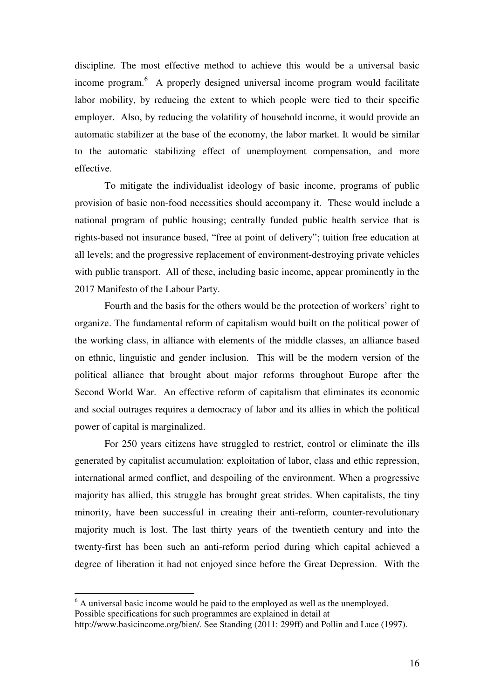discipline. The most effective method to achieve this would be a universal basic income program.<sup>6</sup> A properly designed universal income program would facilitate labor mobility, by reducing the extent to which people were tied to their specific employer. Also, by reducing the volatility of household income, it would provide an automatic stabilizer at the base of the economy, the labor market. It would be similar to the automatic stabilizing effect of unemployment compensation, and more effective.

 To mitigate the individualist ideology of basic income, programs of public provision of basic non-food necessities should accompany it. These would include a national program of public housing; centrally funded public health service that is rights-based not insurance based, "free at point of delivery"; tuition free education at all levels; and the progressive replacement of environment-destroying private vehicles with public transport. All of these, including basic income, appear prominently in the 2017 Manifesto of the Labour Party.

 Fourth and the basis for the others would be the protection of workers' right to organize. The fundamental reform of capitalism would built on the political power of the working class, in alliance with elements of the middle classes, an alliance based on ethnic, linguistic and gender inclusion. This will be the modern version of the political alliance that brought about major reforms throughout Europe after the Second World War. An effective reform of capitalism that eliminates its economic and social outrages requires a democracy of labor and its allies in which the political power of capital is marginalized.

 For 250 years citizens have struggled to restrict, control or eliminate the ills generated by capitalist accumulation: exploitation of labor, class and ethic repression, international armed conflict, and despoiling of the environment. When a progressive majority has allied, this struggle has brought great strides. When capitalists, the tiny minority, have been successful in creating their anti-reform, counter-revolutionary majority much is lost. The last thirty years of the twentieth century and into the twenty-first has been such an anti-reform period during which capital achieved a degree of liberation it had not enjoyed since before the Great Depression. With the

 $\overline{a}$ 

<sup>&</sup>lt;sup>6</sup> A universal basic income would be paid to the employed as well as the unemployed. Possible specifications for such programmes are explained in detail at

http://www.basicincome.org/bien/. See Standing (2011: 299ff) and Pollin and Luce (1997).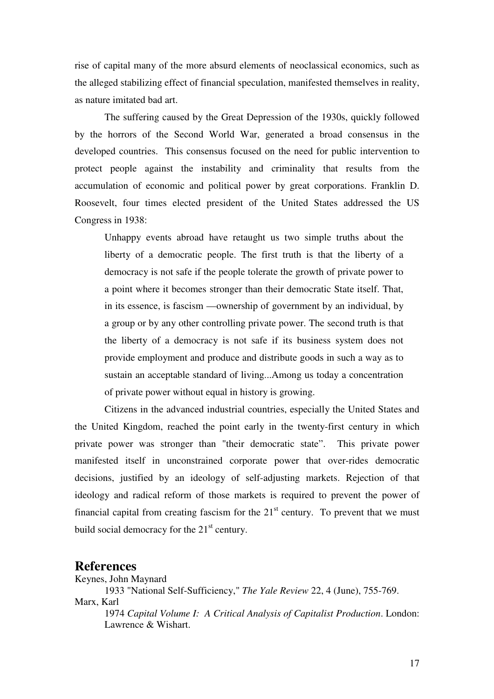rise of capital many of the more absurd elements of neoclassical economics, such as the alleged stabilizing effect of financial speculation, manifested themselves in reality, as nature imitated bad art.

 The suffering caused by the Great Depression of the 1930s, quickly followed by the horrors of the Second World War, generated a broad consensus in the developed countries. This consensus focused on the need for public intervention to protect people against the instability and criminality that results from the accumulation of economic and political power by great corporations. Franklin D. Roosevelt, four times elected president of the United States addressed the US Congress in 1938:

Unhappy events abroad have retaught us two simple truths about the liberty of a democratic people. The first truth is that the liberty of a democracy is not safe if the people tolerate the growth of private power to a point where it becomes stronger than their democratic State itself. That, in its essence, is fascism —ownership of government by an individual, by a group or by any other controlling private power. The second truth is that the liberty of a democracy is not safe if its business system does not provide employment and produce and distribute goods in such a way as to sustain an acceptable standard of living...Among us today a concentration of private power without equal in history is growing.

 Citizens in the advanced industrial countries, especially the United States and the United Kingdom, reached the point early in the twenty-first century in which private power was stronger than "their democratic state". This private power manifested itself in unconstrained corporate power that over-rides democratic decisions, justified by an ideology of self-adjusting markets. Rejection of that ideology and radical reform of those markets is required to prevent the power of financial capital from creating fascism for the  $21<sup>st</sup>$  century. To prevent that we must build social democracy for the  $21<sup>st</sup>$  century.

## **References**

Keynes, John Maynard 1933 "National Self-Sufficiency," *The Yale Review* 22, 4 (June), 755-769. Marx, Karl 1974 *Capital Volume I: A Critical Analysis of Capitalist Production*. London: Lawrence & Wishart.